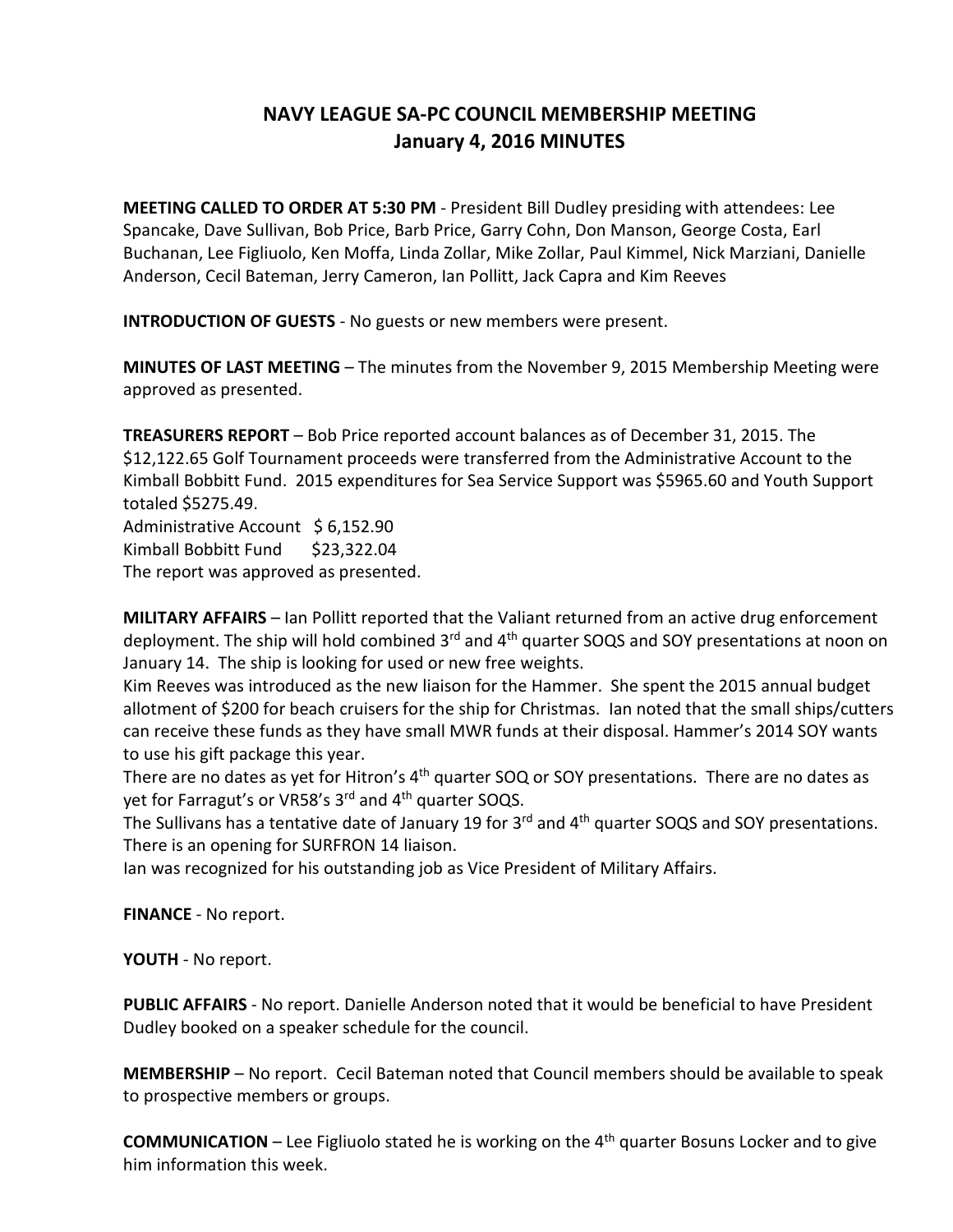## **NAVY LEAGUE SA-PC COUNCIL MEMBERSHIP MEETING January 4, 2016 MINUTES**

**MEETING CALLED TO ORDER AT 5:30 PM** - President Bill Dudley presiding with attendees: Lee Spancake, Dave Sullivan, Bob Price, Barb Price, Garry Cohn, Don Manson, George Costa, Earl Buchanan, Lee Figliuolo, Ken Moffa, Linda Zollar, Mike Zollar, Paul Kimmel, Nick Marziani, Danielle Anderson, Cecil Bateman, Jerry Cameron, Ian Pollitt, Jack Capra and Kim Reeves

**INTRODUCTION OF GUESTS** - No guests or new members were present.

**MINUTES OF LAST MEETING** – The minutes from the November 9, 2015 Membership Meeting were approved as presented.

**TREASURERS REPORT** – Bob Price reported account balances as of December 31, 2015. The \$12,122.65 Golf Tournament proceeds were transferred from the Administrative Account to the Kimball Bobbitt Fund. 2015 expenditures for Sea Service Support was \$5965.60 and Youth Support totaled \$5275.49.

Administrative Account \$ 6,152.90 Kimball Bobbitt Fund \$23,322.04 The report was approved as presented.

**MILITARY AFFAIRS** – Ian Pollitt reported that the Valiant returned from an active drug enforcement deployment. The ship will hold combined 3<sup>rd</sup> and 4<sup>th</sup> quarter SOQS and SOY presentations at noon on January 14. The ship is looking for used or new free weights.

Kim Reeves was introduced as the new liaison for the Hammer. She spent the 2015 annual budget allotment of \$200 for beach cruisers for the ship for Christmas. Ian noted that the small ships/cutters can receive these funds as they have small MWR funds at their disposal. Hammer's 2014 SOY wants to use his gift package this year.

There are no dates as yet for Hitron's  $4<sup>th</sup>$  quarter SOQ or SOY presentations. There are no dates as yet for Farragut's or VR58's 3<sup>rd</sup> and 4<sup>th</sup> quarter SOQS.

The Sullivans has a tentative date of January 19 for 3<sup>rd</sup> and 4<sup>th</sup> quarter SOQS and SOY presentations. There is an opening for SURFRON 14 liaison.

Ian was recognized for his outstanding job as Vice President of Military Affairs.

**FINANCE** - No report.

**YOUTH** - No report.

**PUBLIC AFFAIRS** - No report. Danielle Anderson noted that it would be beneficial to have President Dudley booked on a speaker schedule for the council.

**MEMBERSHIP** – No report. Cecil Bateman noted that Council members should be available to speak to prospective members or groups.

**COMMUNICATION** – Lee Figliuolo stated he is working on the 4<sup>th</sup> quarter Bosuns Locker and to give him information this week.